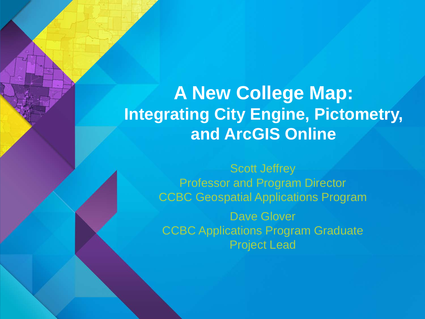# **A New College Map: Integrating City Engine, Pictometry, and ArcGIS Online**

Scott Jeffrey Professor and Program Director CCBC Geospatial Applications Program Dave Glover CCBC Applications Program Graduate Project Lead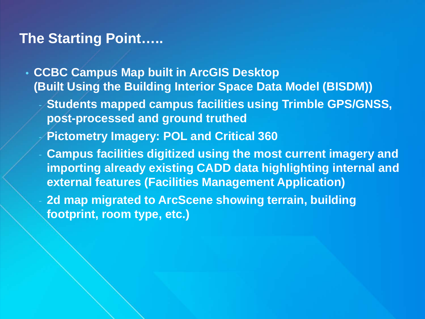#### **The Starting Point…..**

- **CCBC Campus Map built in ArcGIS Desktop (Built Using the Building Interior Space Data Model (BISDM))**
	- **Students mapped campus facilities using Trimble GPS/GNSS, post-processed and ground truthed**

- **Pictometry Imagery: POL and Critical 360**

- **Campus facilities digitized using the most current imagery and importing already existing CADD data highlighting internal and external features (Facilities Management Application)** 

- **2d map migrated to ArcScene showing terrain, building footprint, room type, etc.)**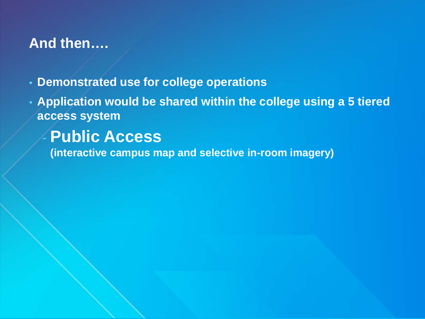- **Demonstrated use for college operations**
- **Application would be shared within the college using a 5 tiered access system**
	- **Public Access**

**(interactive campus map and selective in-room imagery)**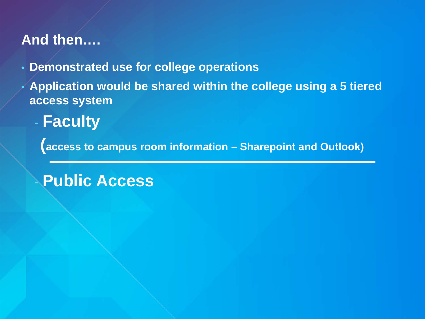- **Demonstrated use for college operations**
- **Application would be shared within the college using a 5 tiered access system**
	- **Faculty**

**(access to campus room information – Sharepoint and Outlook)**

## **Public Access**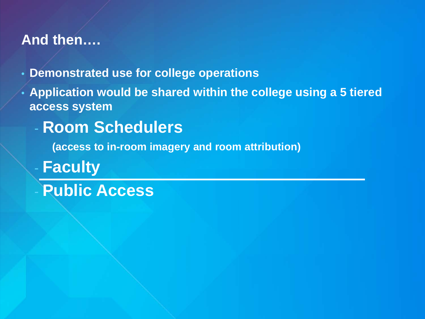- **Demonstrated use for college operations**
- **Application would be shared within the college using a 5 tiered access system**
	- **Room Schedulers**

**(access to in-room imagery and room attribution)**

- **Faculty**
- **Public Access**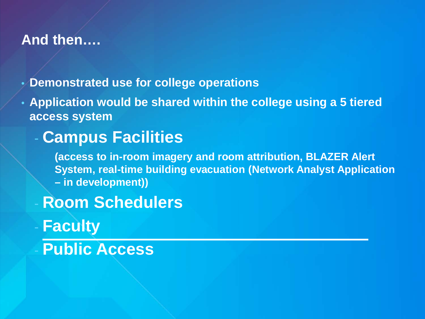- **Demonstrated use for college operations**
- **Application would be shared within the college using a 5 tiered access system**
	- **Campus Facilities**
		- **(access to in-room imagery and room attribution, BLAZER Alert System, real-time building evacuation (Network Analyst Application – in development))**
	- **Room Schedulers**
	- **Faculty**
	- **Public Access**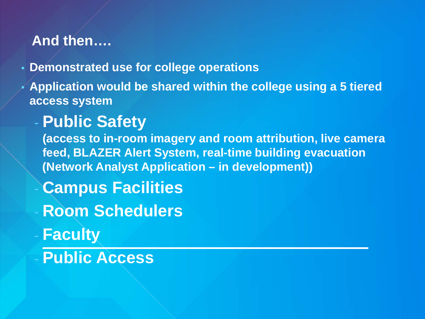- **Demonstrated use for college operations**
- **Application would be shared within the college using a 5 tiered access system**
	- **Public Safety**

**(access to in-room imagery and room attribution, live camera feed, BLAZER Alert System, real-time building evacuation (Network Analyst Application – in development))**

- **Campus Facilities**
- **Room Schedulers**
- **Faculty**
- **Public Access**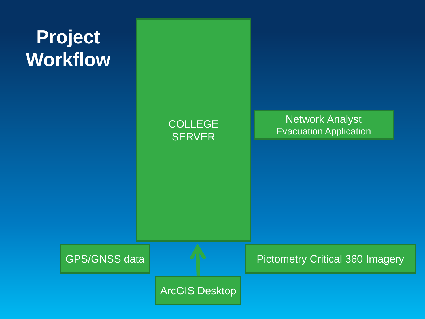



Network Analyst Evacuation Application

ArcGIS Desktop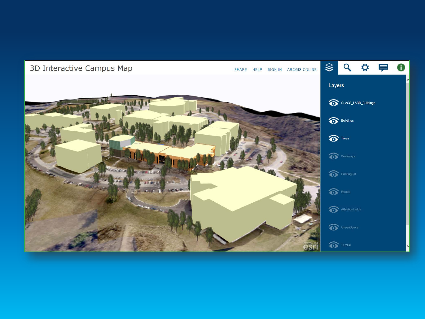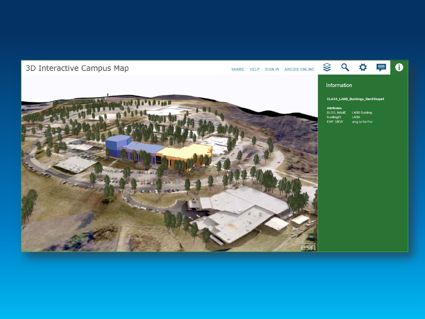#### 3D Interactive Campus Map

#### SHARE HELP SIGN IN ARCGIS ONLINE



#### Information

#### CLASS\_LABB\_Buildings\_Gen0Shape1

**Attributes** 

BLDG\_NAME LABB Building BuidlingID  $LABB$ EXP\_VIEW arcg.is/1bcYlvr

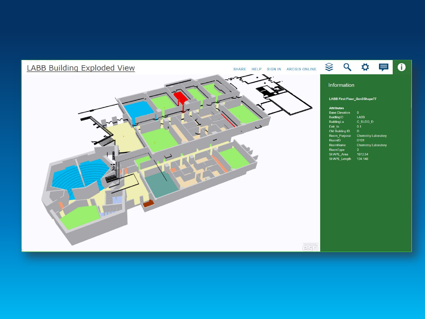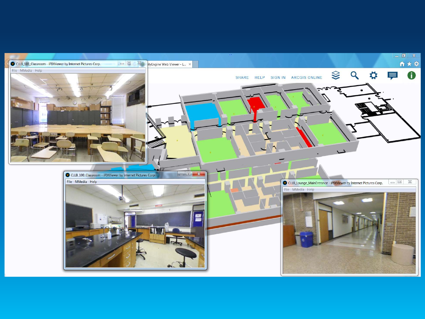